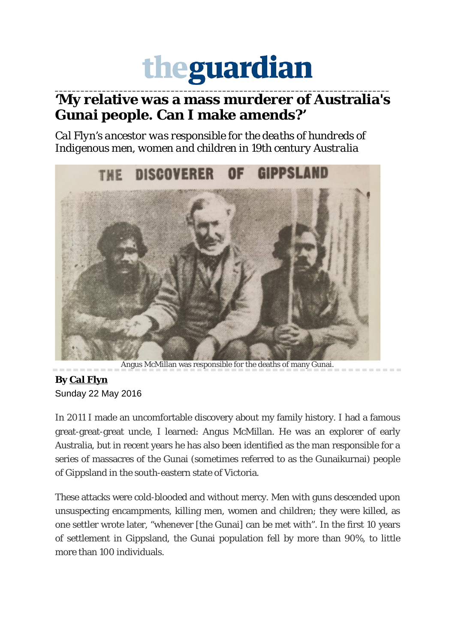## theguardian

## **\_\_\_\_\_\_\_\_\_\_\_\_\_\_\_\_\_\_\_\_\_\_\_\_\_\_\_\_\_\_\_\_\_\_\_\_\_\_\_\_\_\_\_\_\_\_\_\_\_\_\_\_\_\_\_\_\_\_\_\_\_\_\_\_\_\_\_\_\_\_\_\_\_\_\_\_\_\_ 'My relative was a mass murderer of Australia's Gunai people. Can I make amends?'**

*Cal Flyn's ancestor was responsible for the deaths of hundreds of Indigenous men, women and children in 19th century Australia*



Angus McMillan was responsible for the deaths of many Gunai.

## **By [Cal Flyn](https://www.theguardian.com/profile/cal-flyn)** Sunday 22 May 2016

In 2011 I made an uncomfortable discovery about my family history. I had a famous great-great-great uncle, I learned: Angus McMillan. He was an explorer of early Australia, but in recent years he has also been identified as the man responsible for a series of massacres of the Gunai (sometimes referred to as the Gunaikurnai) people of Gippsland in the south-eastern state of Victoria.

These attacks were cold-blooded and without mercy. Men with guns descended upon unsuspecting encampments, killing men, women and children; they were killed, as one settler wrote later, "whenever [the Gunai] can be met with". In the first 10 years of settlement in Gippsland, the Gunai population fell by more than 90%, to little more than 100 individuals.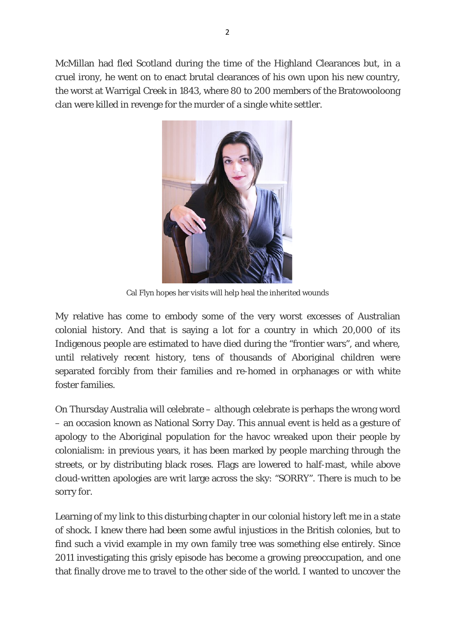McMillan had fled Scotland during the time of the Highland Clearances but, in a cruel irony, he went on to enact brutal clearances of his own upon his new country, the worst at Warrigal Creek in 1843, where 80 to 200 members of the Bratowooloong clan were killed in revenge for the murder of a single white settler.



Cal Flyn hopes her visits will help heal the inherited wounds

My relative has come to embody some of the very worst excesses of Australian colonial history. And that is saying a lot for a country in which 20,000 of its Indigenous people are estimated to have died during the "frontier wars", and where, until relatively recent history, tens of thousands of Aboriginal children were separated forcibly from their families and re-homed in orphanages or with white foster families.

On Thursday Australia will celebrate – although celebrate is perhaps the wrong word – an occasion known as National Sorry Day. This annual event is held as a gesture of apology to the Aboriginal population for the havoc wreaked upon their people by colonialism: in previous years, it has been marked by people marching through the streets, or by distributing black roses. Flags are lowered to half-mast, while above cloud-written apologies are writ large across the sky: "SORRY". There is much to be sorry for.

Learning of my link to this disturbing chapter in our colonial history left me in a state of shock. I knew there had been some awful injustices in the British colonies, but to find such a vivid example in my own family tree was something else entirely. Since 2011 investigating this grisly episode has become a growing preoccupation, and one that finally drove me to travel to the other side of the world. I wanted to uncover the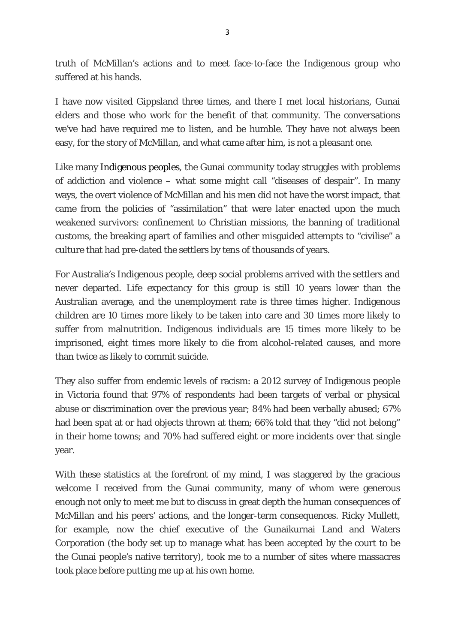truth of McMillan's actions and to meet face-to-face the Indigenous group who suffered at his hands.

I have now visited Gippsland three times, and there I met local historians, Gunai elders and those who work for the benefit of that community. The conversations we've had have required me to listen, and be humble. They have not always been easy, for the story of McMillan, and what came after him, is not a pleasant one.

Like many Indigenous peoples, the Gunai community today struggles with problems of addiction and violence – what some might call "diseases of despair". In many ways, the overt violence of McMillan and his men did not have the worst impact, that came from the policies of "assimilation" that were later enacted upon the much weakened survivors: confinement to Christian missions, the banning of traditional customs, the breaking apart of families and other misguided attempts to "civilise" a culture that had pre-dated the settlers by tens of thousands of years.

For Australia's Indigenous people, deep social problems arrived with the settlers and never departed. Life expectancy for this group is still 10 years lower than the Australian average, and the unemployment rate is three times higher. Indigenous children are 10 times more likely to be taken into care and 30 times more likely to suffer from malnutrition. Indigenous individuals are 15 times more likely to be imprisoned, eight times more likely to die from alcohol-related causes, and more than twice as likely to commit suicide.

They also suffer from endemic levels of racism: a 2012 survey of Indigenous people in Victoria found that 97% of respondents had been targets of verbal or physical abuse or discrimination over the previous year; 84% had been verbally abused; 67% had been spat at or had objects thrown at them; 66% told that they "did not belong" in their home towns; and 70% had suffered eight or more incidents over that single year.

With these statistics at the forefront of my mind, I was staggered by the gracious welcome I received from the Gunai community, many of whom were generous enough not only to meet me but to discuss in great depth the human consequences of McMillan and his peers' actions, and the longer-term consequences. Ricky Mullett, for example, now the chief executive of the Gunaikurnai Land and Waters Corporation (the body set up to manage what has been accepted by the court to be the Gunai people's native territory), took me to a number of sites where massacres took place before putting me up at his own home.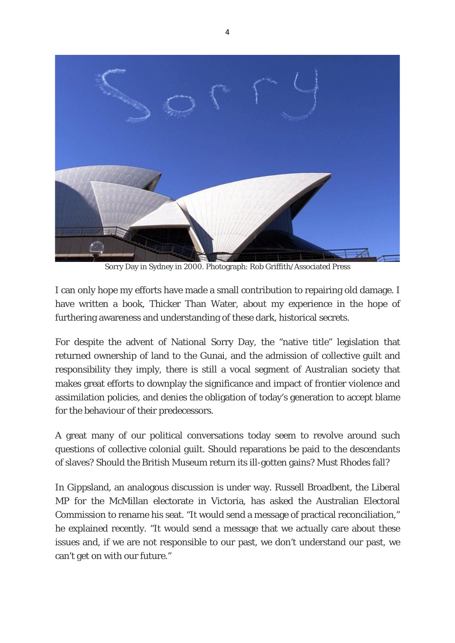

Sorry Day in Sydney in 2000. Photograph: Rob Griffith/Associated Press

I can only hope my efforts have made a small contribution to repairing old damage. I have written a book, Thicker Than Water, about my experience in the hope of furthering awareness and understanding of these dark, historical secrets.

For despite the advent of National Sorry Day, the "native title" legislation that returned ownership of land to the Gunai, and the admission of collective guilt and responsibility they imply, there is still a vocal segment of Australian society that makes great efforts to downplay the significance and impact of frontier violence and assimilation policies, and denies the obligation of today's generation to accept blame for the behaviour of their predecessors.

A great many of our political conversations today seem to revolve around such questions of collective colonial guilt. Should reparations be paid to the descendants of slaves? Should the British Museum return its ill-gotten gains? Must Rhodes fall?

In Gippsland, an analogous discussion is under way. Russell Broadbent, the Liberal MP for the McMillan electorate in Victoria, has asked the Australian Electoral Commission to rename his seat. "It would send a message of practical reconciliation," he explained recently. "It would send a message that we actually care about these issues and, if we are not responsible to our past, we don't understand our past, we can't get on with our future."